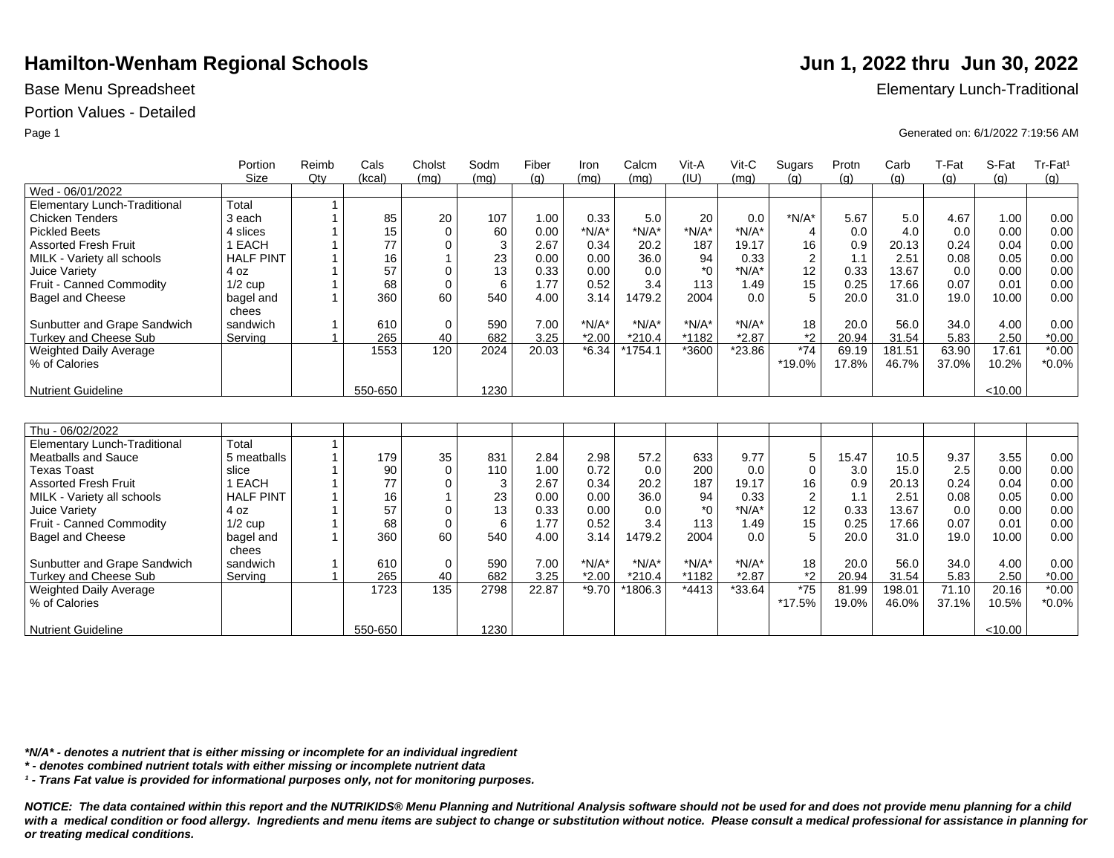## Portion Values - Detailed

|                               | Portion            | Reimb | Cals    | Cholst       | Sodm | Fiber | Iron    | Calcm    | Vit-A            | $Vit-C$  | Sugars         | Protn | Carb   | T-Fat | S-Fat   | Tr-Fat <sup>1</sup> |
|-------------------------------|--------------------|-------|---------|--------------|------|-------|---------|----------|------------------|----------|----------------|-------|--------|-------|---------|---------------------|
|                               | <b>Size</b>        | Qtv   | (kcal)  | (mq)         | (mq) | (q)   | (mg)    | (mq)     | (IU)             | (mq)     | (g)            | (g)   | (g)    | (q)   | (q)     | (g)                 |
| Wed - 06/01/2022              |                    |       |         |              |      |       |         |          |                  |          |                |       |        |       |         |                     |
| Elementary Lunch-Traditional  | Total              |       |         |              |      |       |         |          |                  |          |                |       |        |       |         |                     |
| <b>Chicken Tenders</b>        | 3 each             |       | 85      | 20           | 107  | 1.00  | 0.33    | 5.0      | 20               | 0.0      | $*N/A*$        | 5.67  | 5.0    | 4.67  | 1.00    | 0.00                |
| <b>Pickled Beets</b>          | 4 slices           |       | 15      | $\mathbf 0$  | 60   | 0.00  | $*N/A*$ | $*N/A*$  | $*N/A*$          | $*N/A*$  | $\overline{4}$ | 0.0   | 4.0    | 0.0   | 0.00    | 0.00                |
| <b>Assorted Fresh Fruit</b>   | 1 EACH             |       | 77      | $\mathbf 0$  | 3    | 2.67  | 0.34    | 20.2     | 187              | 19.17    | 16             | 0.9   | 20.13  | 0.24  | 0.04    | 0.00                |
| MILK - Variety all schools    | <b>HALF PINT</b>   |       | 16      | $\mathbf{1}$ | 23   | 0.00  | 0.00    | 36.0     | 94               | 0.33     | $\overline{c}$ | 1.1   | 2.51   | 0.08  | 0.05    | 0.00                |
| Juice Variety                 | 4 oz               |       | 57      | 0            | 13   | 0.33  | 0.00    | 0.0      | $*_{0}$          | $*N/A*$  | 12             | 0.33  | 13.67  | 0.0   | 0.00    | 0.00                |
| Fruit - Canned Commodity      | $1/2$ cup          |       | 68      | $\mathbf 0$  | 6    | 1.77  | 0.52    | 3.4      | 113              | 1.49     | 15             | 0.25  | 17.66  | 0.07  | 0.01    | 0.00                |
| <b>Bagel and Cheese</b>       | bagel and<br>chees |       | 360     | 60           | 540  | 4.00  | 3.14    | 1479.2   | 2004             | 0.0      | 5              | 20.0  | 31.0   | 19.0  | 10.00   | 0.00                |
| Sunbutter and Grape Sandwich  | sandwich           |       | 610     | $\mathbf 0$  | 590  | 7.00  | $*N/A*$ | $*N/A*$  | $*N/A*$          | $*N/A*$  | 18             | 20.0  | 56.0   | 34.0  | 4.00    | 0.00                |
| Turkey and Cheese Sub         | Serving            |       | 265     | 40           | 682  | 3.25  | $*2.00$ | $*210.4$ | *1182            | $*2.87$  | $*2$           | 20.94 | 31.54  | 5.83  | 2.50    | $*0.00$             |
| <b>Weighted Daily Average</b> |                    |       | 1553    | 120          | 2024 | 20.03 | $*6.34$ | *1754.1  | *3600            | *23.86   | $*74$          | 69.19 | 181.51 | 63.90 | 17.61   | $*0.00$             |
| % of Calories                 |                    |       |         |              |      |       |         |          |                  |          | *19.0%         | 17.8% | 46.7%  | 37.0% | 10.2%   | $*0.0\%$            |
| <b>Nutrient Guideline</b>     |                    |       | 550-650 |              | 1230 |       |         |          |                  |          |                |       |        |       | <10.00  |                     |
|                               |                    |       |         |              |      |       |         |          |                  |          |                |       |        |       |         |                     |
|                               |                    |       |         |              |      |       |         |          |                  |          |                |       |        |       |         |                     |
| Thu - 06/02/2022              |                    |       |         |              |      |       |         |          |                  |          |                |       |        |       |         |                     |
| Elementary Lunch-Traditional  | Total              | 1     |         |              |      |       |         |          |                  |          |                |       |        |       |         |                     |
| <b>Meatballs and Sauce</b>    | 5 meatballs        |       | 179     | 35           | 831  | 2.84  | 2.98    | 57.2     | 633              | 9.77     | $\sqrt{5}$     | 15.47 | 10.5   | 9.37  | 3.55    | 0.00                |
| <b>Texas Toast</b>            | slice              |       | 90      | $\mathbf 0$  | 110  | 1.00  | 0.72    | 0.0      | 200              | 0.0      | $\mathbf 0$    | 3.0   | 15.0   | 2.5   | 0.00    | 0.00                |
| <b>Assorted Fresh Fruit</b>   | 1 EACH             |       | 77      | 0            | 3    | 2.67  | 0.34    | 20.2     | 187              | 19.17    | 16             | 0.9   | 20.13  | 0.24  | 0.04    | 0.00                |
| MILK - Variety all schools    | <b>HALF PINT</b>   |       | 16      | $\mathbf{1}$ | 23   | 0.00  | 0.00    | 36.0     | 94               | 0.33     | $\overline{2}$ | 1.1   | 2.51   | 0.08  | 0.05    | 0.00                |
| Juice Variety                 | 4 oz               |       | 57      | $\Omega$     | 13   | 0.33  | 0.00    | 0.0      | $*$ <sup>0</sup> | $*N/A*$  | 12             | 0.33  | 13.67  | 0.0   | 0.00    | 0.00                |
| Fruit - Canned Commodity      | $1/2$ cup          |       | 68      | $\mathbf 0$  | 6    | 1.77  | 0.52    | 3.4      | 113              | 1.49     | 15             | 0.25  | 17.66  | 0.07  | 0.01    | 0.00                |
| <b>Bagel and Cheese</b>       | bagel and<br>chees |       | 360     | 60           | 540  | 4.00  | 3.14    | 1479.2   | 2004             | 0.0      | 5              | 20.0  | 31.0   | 19.0  | 10.00   | 0.00                |
| Sunbutter and Grape Sandwich  | sandwich           |       | 610     | 0            | 590  | 7.00  | $*N/A*$ | $*N/A*$  | $*N/A*$          | $*N/A*$  | 18             | 20.0  | 56.0   | 34.0  | 4.00    | 0.00                |
| Turkey and Cheese Sub         | Serving            |       | 265     | 40           | 682  | 3.25  | $*2.00$ | $*210.4$ | *1182            | $*2.87$  | $*2$           | 20.94 | 31.54  | 5.83  | 2.50    | $*0.00$             |
| Weighted Daily Average        |                    |       | 1723    | 135          | 2798 | 22.87 | $*9.70$ | *1806.3  | *4413            | $*33.64$ | $^{\ast}75$    | 81.99 | 198.01 | 71.10 | 20.16   | $*0.00$             |
| % of Calories                 |                    |       |         |              |      |       |         |          |                  |          | *17.5%         | 19.0% | 46.0%  | 37.1% | 10.5%   | $*0.0\%$            |
| <b>Nutrient Guideline</b>     |                    |       | 550-650 |              | 1230 |       |         |          |                  |          |                |       |        |       | < 10.00 |                     |

*\*N/A\* - denotes a nutrient that is either missing or incomplete for an individual ingredient*

*\* - denotes combined nutrient totals with either missing or incomplete nutrient data*

*¹ - Trans Fat value is provided for informational purposes only, not for monitoring purposes.*

*NOTICE: The data contained within this report and the NUTRIKIDS® Menu Planning and Nutritional Analysis software should not be used for and does not provide menu planning for a child*  with a medical condition or food allergy. Ingredients and menu items are subject to change or substitution without notice. Please consult a medical professional for assistance in planning for *or treating medical conditions.*

Base Menu Spreadsheet **Elementary Lunch-Traditional** 

Page 1 Generated on: 6/1/2022 7:19:56 AM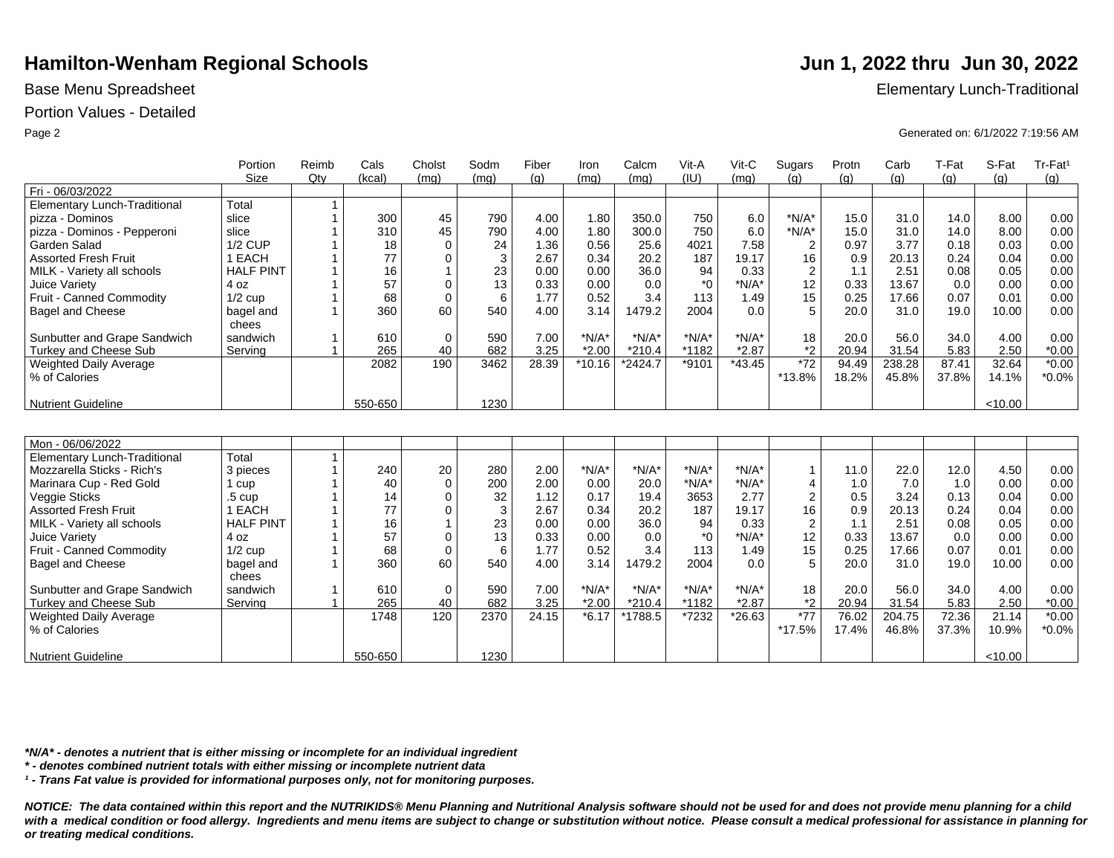### Portion Values - Detailed

|                                     | Portion            | Reimb          | Cals    | Cholst       | Sodm | Fiber | Iron     | Calcm    | Vit-A   | $Vit-C$  | Sugars         | Protn | Carb   | T-Fat | S-Fat   | Tr-Fat <sup>1</sup> |
|-------------------------------------|--------------------|----------------|---------|--------------|------|-------|----------|----------|---------|----------|----------------|-------|--------|-------|---------|---------------------|
|                                     | <b>Size</b>        | Qtv            | (kcal)  | (mq)         | (mq) | (q)   | (mq)     | (mq)     | (IU)    | (mq)     | (q)            | (q)   | (g)    | (g)   | (q)     | (g)                 |
| Fri - 06/03/2022                    |                    |                |         |              |      |       |          |          |         |          |                |       |        |       |         |                     |
| <b>Elementary Lunch-Traditional</b> | Total              | $\overline{1}$ |         |              |      |       |          |          |         |          |                |       |        |       |         |                     |
| pizza - Dominos                     | slice              | $\overline{1}$ | 300     | 45           | 790  | 4.00  | 1.80     | 350.0    | 750     | 6.0      | $*N/A*$        | 15.0  | 31.0   | 14.0  | 8.00    | 0.00                |
| pizza - Dominos - Pepperoni         | slice              |                | 310     | 45           | 790  | 4.00  | 1.80     | 300.0    | 750     | 6.0      | $*N/A*$        | 15.0  | 31.0   | 14.0  | 8.00    | 0.00                |
| Garden Salad                        | <b>1/2 CUP</b>     |                | 18      | $\mathbf 0$  | 24   | 1.36  | 0.56     | 25.6     | 4021    | 7.58     | $\overline{c}$ | 0.97  | 3.77   | 0.18  | 0.03    | 0.00                |
| <b>Assorted Fresh Fruit</b>         | 1 EACH             | $\overline{1}$ | 77      | 0            | 3    | 2.67  | 0.34     | 20.2     | 187     | 19.17    | 16             | 0.9   | 20.13  | 0.24  | 0.04    | 0.00                |
| MILK - Variety all schools          | <b>HALF PINT</b>   | $\overline{1}$ | 16      | $\mathbf{1}$ | 23   | 0.00  | 0.00     | 36.0     | 94      | 0.33     | $\overline{2}$ | 1.1   | 2.51   | 0.08  | 0.05    | 0.00                |
| Juice Variety                       | 4 oz               | $\overline{1}$ | 57      | $\mathbf 0$  | 13   | 0.33  | 0.00     | 0.0      | $*_{0}$ | $*N/A*$  | 12             | 0.33  | 13.67  | 0.0   | 0.00    | 0.00                |
| Fruit - Canned Commodity            | $1/2$ cup          |                | 68      | $\mathbf 0$  | 6    | 1.77  | 0.52     | 3.4      | 113     | 1.49     | 15             | 0.25  | 17.66  | 0.07  | 0.01    | 0.00                |
| Bagel and Cheese                    | bagel and<br>chees | $\overline{1}$ | 360     | 60           | 540  | 4.00  | 3.14     | 1479.2   | 2004    | 0.0      | 5              | 20.0  | 31.0   | 19.0  | 10.00   | 0.00                |
| Sunbutter and Grape Sandwich        | sandwich           | $\mathbf 1$    | 610     | $\mathbf 0$  | 590  | 7.00  | $*N/A*$  | $*N/A*$  | $*N/A*$ | $*N/A*$  | 18             | 20.0  | 56.0   | 34.0  | 4.00    | 0.00                |
| <b>Turkey and Cheese Sub</b>        | Serving            | $\overline{1}$ | 265     | 40           | 682  | 3.25  | $*2.00$  | $*210.4$ | *1182   | $*2.87$  | $*_{2}$        | 20.94 | 31.54  | 5.83  | 2.50    | $*0.00$             |
| Weighted Daily Average              |                    |                | 2082    | 190          | 3462 | 28.39 | $*10.16$ | *2424.7  | *9101   | $*43.45$ | $*72$          | 94.49 | 238.28 | 87.41 | 32.64   | $*0.00$             |
| % of Calories                       |                    |                |         |              |      |       |          |          |         |          | *13.8%         | 18.2% | 45.8%  | 37.8% | 14.1%   | $*0.0\%$            |
| <b>Nutrient Guideline</b>           |                    |                | 550-650 |              | 1230 |       |          |          |         |          |                |       |        |       | < 10.00 |                     |
|                                     |                    |                |         |              |      |       |          |          |         |          |                |       |        |       |         |                     |
|                                     |                    |                |         |              |      |       |          |          |         |          |                |       |        |       |         |                     |
| Mon - 06/06/2022                    |                    |                |         |              |      |       |          |          |         |          |                |       |        |       |         |                     |
| <b>Elementary Lunch-Traditional</b> | Total              | $\overline{1}$ |         |              |      |       |          |          |         |          |                |       |        |       |         |                     |
| Mozzarella Sticks - Rich's          | 3 pieces           | $\overline{ }$ | 240     | 20           | 280  | 2.00  | $*N/A*$  | $*N/A*$  | $*N/A*$ | $*N/A*$  | $\mathbf{1}$   | 11.0  | 22.0   | 12.0  | 4.50    | 0.00                |
| Marinara Cup - Red Gold             | 1 cup              |                | 40      | $\mathbf 0$  | 200  | 2.00  | 0.00     | 20.0     | $*N/A*$ | $*N/A*$  | $\overline{4}$ | 1.0   | 7.0    | 1.0   | 0.00    | 0.00                |
| Veggie Sticks                       | .5 cup             |                | 14      | $\mathbf 0$  | 32   | 1.12  | 0.17     | 19.4     | 3653    | 2.77     | $\overline{2}$ | 0.5   | 3.24   | 0.13  | 0.04    | 0.00                |
| <b>Assorted Fresh Fruit</b>         | 1 EACH             |                | 77      | $\Omega$     | 3    | 2.67  | 0.34     | 20.2     | 187     | 19.17    | 16             | 0.9   | 20.13  | 0.24  | 0.04    | 0.00                |
| MILK - Variety all schools          | <b>HALF PINT</b>   |                | 16      | $\mathbf{1}$ | 23   | 0.00  | 0.00     | 36.0     | 94      | 0.33     | $\overline{2}$ | 1.1   | 2.51   | 0.08  | 0.05    | 0.00                |
| Juice Variety                       | 4 oz               |                | 57      | $\Omega$     | 13   | 0.33  | 0.00     | 0.0      | $*_{0}$ | $*N/A*$  | 12             | 0.33  | 13.67  | 0.0   | 0.00    | 0.00                |
| Fruit - Canned Commodity            | $1/2$ cup          |                | 68      | $\mathbf 0$  | 6    | 1.77  | 0.52     | 3.4      | 113     | 1.49     | 15             | 0.25  | 17.66  | 0.07  | 0.01    | 0.00                |
| <b>Bagel and Cheese</b>             | bagel and<br>chees |                | 360     | 60           | 540  | 4.00  | 3.14     | 1479.2   | 2004    | 0.0      | 5              | 20.0  | 31.0   | 19.0  | 10.00   | 0.00                |
| Sunbutter and Grape Sandwich        | sandwich           |                | 610     | $\mathbf 0$  | 590  | 7.00  | $*N/A*$  | $*N/A*$  | $*N/A*$ | $*N/A*$  | 18             | 20.0  | 56.0   | 34.0  | 4.00    | 0.00                |
| Turkey and Cheese Sub               | Serving            | $\mathbf{1}$   | 265     | 40           | 682  | 3.25  | $*2.00$  | $*210.4$ | *1182   | $*2.87$  | $*_{2}$        | 20.94 | 31.54  | 5.83  | 2.50    | $*0.00$             |
| <b>Weighted Daily Average</b>       |                    |                | 1748    | 120          | 2370 | 24.15 | $*6.17$  | *1788.5  | *7232   | $*26.63$ | $*77$          | 76.02 | 204.75 | 72.36 | 21.14   | $*0.00$             |
| % of Calories                       |                    |                |         |              |      |       |          |          |         |          | *17.5%         | 17.4% | 46.8%  | 37.3% | 10.9%   | $*0.0\%$            |
| <b>Nutrient Guideline</b>           |                    |                | 550-650 |              | 1230 |       |          |          |         |          |                |       |        |       | < 10.00 |                     |

*\*N/A\* - denotes a nutrient that is either missing or incomplete for an individual ingredient*

*\* - denotes combined nutrient totals with either missing or incomplete nutrient data*

*¹ - Trans Fat value is provided for informational purposes only, not for monitoring purposes.*

*NOTICE: The data contained within this report and the NUTRIKIDS® Menu Planning and Nutritional Analysis software should not be used for and does not provide menu planning for a child*  with a medical condition or food allergy. Ingredients and menu items are subject to change or substitution without notice. Please consult a medical professional for assistance in planning for *or treating medical conditions.*

Base Menu Spreadsheet **Elementary Lunch-Traditional** 

Page 2 Generated on: 6/1/2022 7:19:56 AM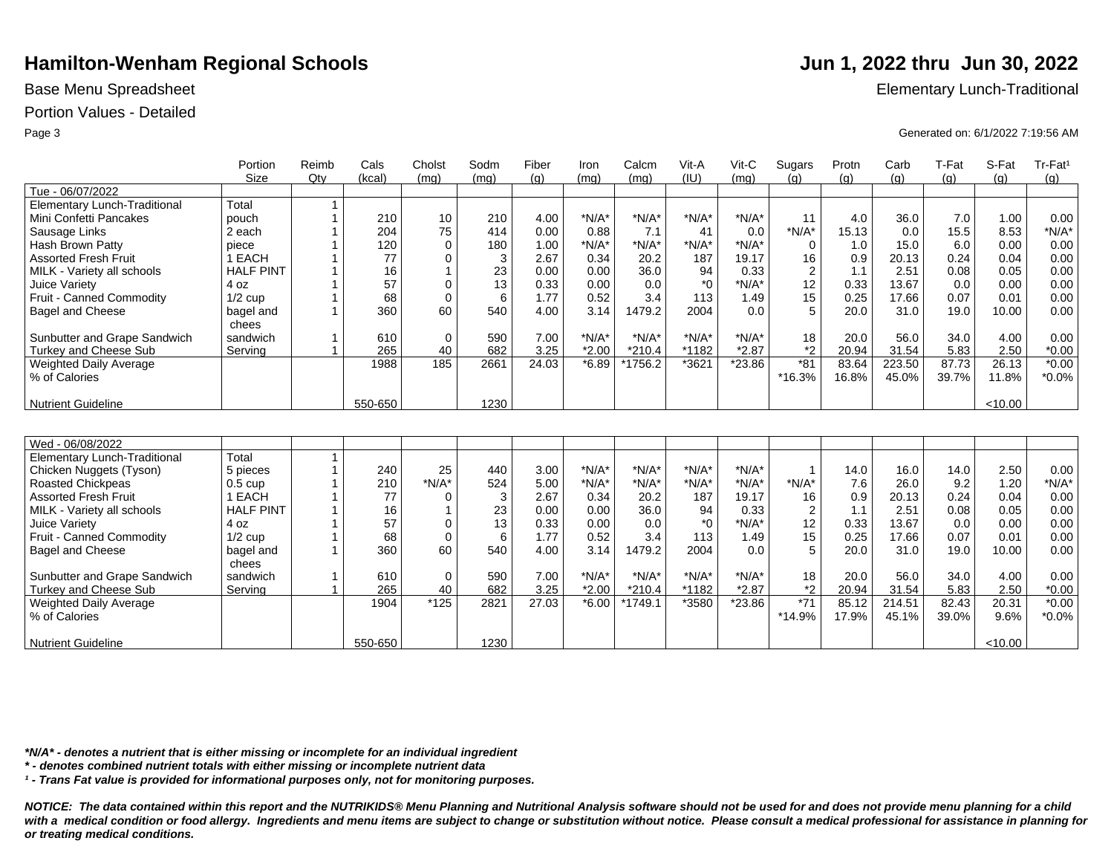## Portion Values - Detailed

|                                     | Portion           | Reimb | Cals    | Cholst       | Sodm | Fiber | Iron    | Calcm     | Vit-A   | Vit-C    | Sugars         | Protn | Carb   | T-Fat | S-Fat   | Tr-Fat <sup>1</sup> |
|-------------------------------------|-------------------|-------|---------|--------------|------|-------|---------|-----------|---------|----------|----------------|-------|--------|-------|---------|---------------------|
|                                     | <b>Size</b>       | Qty   | (kcal)  | (mq)         | (mq) | (q)   | (mq)    | (mq)      | (IU)    | (mq)     | (q)            | (g)   | (g)    | (g)   | (g)     | (g)                 |
| Tue - 06/07/2022                    |                   |       |         |              |      |       |         |           |         |          |                |       |        |       |         |                     |
| Elementary Lunch-Traditional        | Total             |       |         |              |      |       |         |           |         |          |                |       |        |       |         |                     |
| Mini Confetti Pancakes              | pouch             |       | 210     | 10           | 210  | 4.00  | $*N/A*$ | $*N/A*$   | $*N/A*$ | $*N/A*$  | 11             | 4.0   | 36.0   | 7.0   | 1.00    | 0.00                |
| Sausage Links                       | 2 each            |       | 204     | 75           | 414  | 0.00  | 0.88    | 7.1       | 41      | 0.0      | $*N/A*$        | 15.13 | 0.0    | 15.5  | 8.53    | $*N/A*$             |
| Hash Brown Patty                    | piece             |       | 120     | $\Omega$     | 180  | 1.00  | $*N/A*$ | $*N/A*$   | $*N/A*$ | $*N/A*$  | $\mathbf 0$    | 1.0   | 15.0   | 6.0   | 0.00    | 0.00                |
| <b>Assorted Fresh Fruit</b>         | 1 EACH            |       | 77      | $\Omega$     | 3    | 2.67  | 0.34    | 20.2      | 187     | 19.17    | 16             | 0.9   | 20.13  | 0.24  | 0.04    | 0.00                |
| MILK - Variety all schools          | <b>HALF PINT</b>  |       | 16      | $\mathbf{1}$ | 23   | 0.00  | 0.00    | 36.0      | 94      | 0.33     | $\overline{2}$ | 1.1   | 2.51   | 0.08  | 0.05    | 0.00                |
| Juice Variety                       | 4 oz              |       | 57      | $\mathbf 0$  | 13   | 0.33  | 0.00    | 0.0       | $*$ 0   | $*N/A*$  | 12             | 0.33  | 13.67  | 0.0   | 0.00    | 0.00                |
| Fruit - Canned Commodity            | $1/2$ cup         |       | 68      | $\mathbf 0$  | 6    | 1.77  | 0.52    | 3.4       | 113     | 1.49     | 15             | 0.25  | 17.66  | 0.07  | 0.01    | 0.00                |
| <b>Bagel and Cheese</b>             | bagel and         |       | 360     | 60           | 540  | 4.00  | 3.14    | 1479.2    | 2004    | 0.0      | 5              | 20.0  | 31.0   | 19.0  | 10.00   | 0.00                |
|                                     | chees             |       |         |              |      |       |         |           |         |          |                |       |        |       |         |                     |
| Sunbutter and Grape Sandwich        | sandwich          |       | 610     | $\mathbf 0$  | 590  | 7.00  | $*N/A*$ | $*N/A*$   | $*N/A*$ | $*N/A*$  | 18             | 20.0  | 56.0   | 34.0  | 4.00    | 0.00                |
| <b>Turkey and Cheese Sub</b>        | Serving           |       | 265     | 40           | 682  | 3.25  | $*2.00$ | $*210.4$  | *1182   | $*2.87$  | $*_{2}$        | 20.94 | 31.54  | 5.83  | 2.50    | $*0.00$             |
| Weighted Daily Average              |                   |       | 1988    | 185          | 2661 | 24.03 | $*6.89$ | *1756.2   | *3621   | *23.86   | $*81$          | 83.64 | 223.50 | 87.73 | 26.13   | $*0.00$             |
| % of Calories                       |                   |       |         |              |      |       |         |           |         |          | *16.3%         | 16.8% | 45.0%  | 39.7% | 11.8%   | $*0.0\%$            |
|                                     |                   |       |         |              |      |       |         |           |         |          |                |       |        |       |         |                     |
| <b>Nutrient Guideline</b>           |                   |       | 550-650 |              | 1230 |       |         |           |         |          |                |       |        |       | < 10.00 |                     |
|                                     |                   |       |         |              |      |       |         |           |         |          |                |       |        |       |         |                     |
|                                     |                   |       |         |              |      |       |         |           |         |          |                |       |        |       |         |                     |
| Wed - 06/08/2022                    |                   |       |         |              |      |       |         |           |         |          |                |       |        |       |         |                     |
| <b>Elementary Lunch-Traditional</b> | Total             | 1     |         |              |      |       |         |           |         |          |                |       |        |       |         |                     |
| Chicken Nuggets (Tyson)             | 5 pieces          |       | 240     | 25           | 440  | 3.00  | $*N/A*$ | $*N/A*$   | $*N/A*$ | $*N/A*$  | $\overline{1}$ | 14.0  | 16.0   | 14.0  | 2.50    | 0.00                |
| <b>Roasted Chickpeas</b>            | $0.5 \text{ cup}$ |       | 210     | $*N/A*$      | 524  | 5.00  | $*N/A*$ | $*N/A*$   | $*N/A*$ | $*N/A*$  | $*N/A*$        | 7.6   | 26.0   | 9.2   | 1.20    | $*N/A*$             |
| <b>Assorted Fresh Fruit</b>         | 1 EACH            |       | 77      | $\Omega$     | 3    | 2.67  | 0.34    | 20.2      | 187     | 19.17    | 16             | 0.9   | 20.13  | 0.24  | 0.04    | 0.00                |
| MILK - Variety all schools          | <b>HALF PINT</b>  |       | 16      | 1            | 23   | 0.00  | 0.00    | 36.0      | 94      | 0.33     | $\overline{2}$ | 1.1   | 2.51   | 0.08  | 0.05    | 0.00                |
| Juice Variety                       | 4 oz              |       | 57      | $\mathbf 0$  | 13   | 0.33  | 0.00    | 0.0       | $*_{0}$ | $*N/A*$  | 12             | 0.33  | 13.67  | 0.0   | 0.00    | 0.00                |
| Fruit - Canned Commodity            | $1/2$ cup         |       | 68      | $\Omega$     | 6    | 1.77  | 0.52    | 3.4       | 113     | 1.49     | 15             | 0.25  | 17.66  | 0.07  | 0.01    | 0.00                |
| Bagel and Cheese                    | bagel and         |       | 360     | 60           | 540  | 4.00  | 3.14    | 1479.2    | 2004    | 0.0      | 5              | 20.0  | 31.0   | 19.0  | 10.00   | 0.00                |
|                                     | chees             |       |         |              |      |       |         |           |         |          |                |       |        |       |         |                     |
| Sunbutter and Grape Sandwich        | sandwich          | 1     | 610     | $\mathbf 0$  | 590  | 7.00  | $*N/A*$ | $*N/A*$   | $*N/A*$ | $*N/A*$  | 18             | 20.0  | 56.0   | 34.0  | 4.00    | 0.00                |
| <b>Turkey and Cheese Sub</b>        | Serving           |       | 265     | 40           | 682  | 3.25  | $*2.00$ | $*210.4$  | *1182   | $*2.87$  | $*_{2}$        | 20.94 | 31.54  | 5.83  | 2.50    | $*0.00$             |
| Weighted Daily Average              |                   |       | 1904    | $*125$       | 2821 | 27.03 | $*6.00$ | $*1749.1$ | *3580   | $*23.86$ | $*71$          | 85.12 | 214.51 | 82.43 | 20.31   | $*0.00$             |
| % of Calories                       |                   |       |         |              |      |       |         |           |         |          | *14.9%         | 17.9% | 45.1%  | 39.0% | 9.6%    | $*0.0\%$            |
|                                     |                   |       |         |              |      |       |         |           |         |          |                |       |        |       |         |                     |
| <b>Nutrient Guideline</b>           |                   |       | 550-650 |              | 1230 |       |         |           |         |          |                |       |        |       | < 10.00 |                     |

*\*N/A\* - denotes a nutrient that is either missing or incomplete for an individual ingredient*

*\* - denotes combined nutrient totals with either missing or incomplete nutrient data*

*¹ - Trans Fat value is provided for informational purposes only, not for monitoring purposes.*

*NOTICE: The data contained within this report and the NUTRIKIDS® Menu Planning and Nutritional Analysis software should not be used for and does not provide menu planning for a child*  with a medical condition or food allergy. Ingredients and menu items are subject to change or substitution without notice. Please consult a medical professional for assistance in planning for *or treating medical conditions.*

Base Menu Spreadsheet **Elementary Lunch-Traditional** 

Page 3 Generated on: 6/1/2022 7:19:56 AM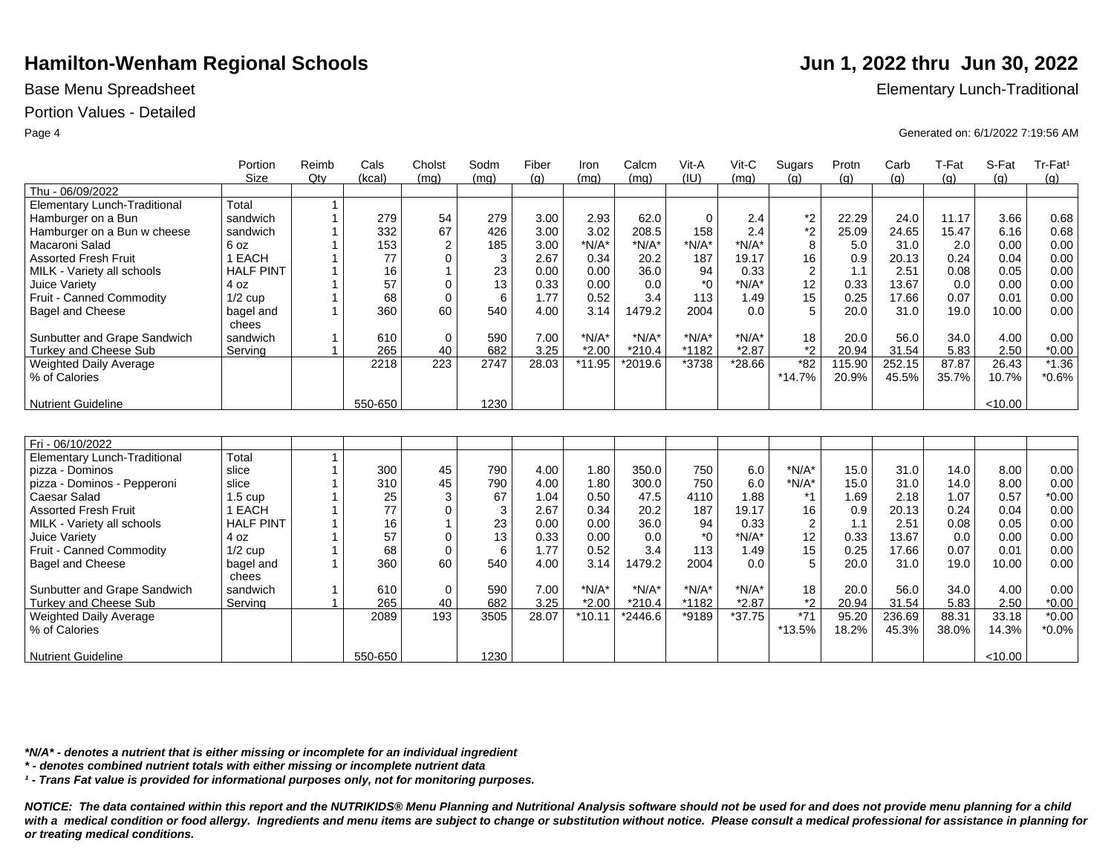### Portion Values - Detailed

|                                     | Portion            | Reimb          | Cals    | Cholst         | Sodm | Fiber | Iron     | Calcm    | Vit-A            | Vit-C    | Sugars         | Protn  | Carb   | T-Fat | S-Fat   | Tr-Fat <sup>1</sup> |
|-------------------------------------|--------------------|----------------|---------|----------------|------|-------|----------|----------|------------------|----------|----------------|--------|--------|-------|---------|---------------------|
|                                     | <b>Size</b>        | Qtv            | (kcal)  | (mg)           | (mq) | (q)   | (mq)     | (mq)     | (IU)             | (mq)     | (q)            | (q)    | (g)    | (g)   | (q)     | (g)                 |
| Thu - 06/09/2022                    |                    |                |         |                |      |       |          |          |                  |          |                |        |        |       |         |                     |
| <b>Elementary Lunch-Traditional</b> | Total              | $\mathbf{1}$   |         |                |      |       |          |          |                  |          |                |        |        |       |         |                     |
| Hamburger on a Bun                  | sandwich           | $\mathbf{1}$   | 279     | 54             | 279  | 3.00  | 2.93     | 62.0     | $\Omega$         | 2.4      | $*2$           | 22.29  | 24.0   | 11.17 | 3.66    | 0.68                |
| Hamburger on a Bun w cheese         | sandwich           |                | 332     | 67             | 426  | 3.00  | 3.02     | 208.5    | 158              | 2.4      | $^{\star}2$    | 25.09  | 24.65  | 15.47 | 6.16    | 0.68                |
| Macaroni Salad                      | 6 oz               |                | 153     | $\overline{2}$ | 185  | 3.00  | $*N/A*$  | $*N/A*$  | $*N/A*$          | $*N/A*$  | 8              | 5.0    | 31.0   | 2.0   | 0.00    | 0.00                |
| <b>Assorted Fresh Fruit</b>         | 1 EACH             |                | 77      | 0              | 3    | 2.67  | 0.34     | 20.2     | 187              | 19.17    | 16             | 0.9    | 20.13  | 0.24  | 0.04    | 0.00                |
| MILK - Variety all schools          | <b>HALF PINT</b>   |                | 16      | $\mathbf{1}$   | 23   | 0.00  | 0.00     | 36.0     | 94               | 0.33     | $\overline{2}$ | 1.1    | 2.51   | 0.08  | 0.05    | 0.00                |
| Juice Variety                       | 4 oz               |                | 57      | 0              | 13   | 0.33  | 0.00     | 0.0      | $*_{0}$          | $*N/A*$  | 12             | 0.33   | 13.67  | 0.0   | 0.00    | 0.00                |
| Fruit - Canned Commodity            | $1/2$ cup          |                | 68      | $\mathbf 0$    | 6    | 1.77  | 0.52     | 3.4      | 113              | 1.49     | 15             | 0.25   | 17.66  | 0.07  | 0.01    | 0.00                |
| <b>Bagel and Cheese</b>             | bagel and<br>chees |                | 360     | 60             | 540  | 4.00  | 3.14     | 1479.2   | 2004             | 0.0      | 5              | 20.0   | 31.0   | 19.0  | 10.00   | 0.00                |
| Sunbutter and Grape Sandwich        | sandwich           | $\mathbf 1$    | 610     | $\mathbf 0$    | 590  | 7.00  | $*N/A*$  | $*N/A*$  | $*N/A*$          | $*N/A*$  | 18             | 20.0   | 56.0   | 34.0  | 4.00    | 0.00                |
| <b>Turkey and Cheese Sub</b>        | Serving            | 1              | 265     | 40             | 682  | 3.25  | $*2.00$  | $*210.4$ | *1182            | $*2.87$  | $*_{2}$        | 20.94  | 31.54  | 5.83  | 2.50    | $*0.00$             |
| Weighted Daily Average              |                    |                | 2218    | 223            | 2747 | 28.03 | $*11.95$ | *2019.6  | *3738            | *28.66   | $*82$          | 115.90 | 252.15 | 87.87 | 26.43   | $*1.36$             |
| % of Calories                       |                    |                |         |                |      |       |          |          |                  |          | $*14.7%$       | 20.9%  | 45.5%  | 35.7% | 10.7%   | $*0.6%$             |
| <b>Nutrient Guideline</b>           |                    |                | 550-650 |                | 1230 |       |          |          |                  |          |                |        |        |       | < 10.00 |                     |
|                                     |                    |                |         |                |      |       |          |          |                  |          |                |        |        |       |         |                     |
|                                     |                    |                |         |                |      |       |          |          |                  |          |                |        |        |       |         |                     |
| Fri - 06/10/2022                    |                    |                |         |                |      |       |          |          |                  |          |                |        |        |       |         |                     |
| <b>Elementary Lunch-Traditional</b> | Total              | $\mathbf{1}$   |         |                |      |       |          |          |                  |          |                |        |        |       |         |                     |
| pizza - Dominos                     | slice              | $\overline{1}$ | 300     | 45             | 790  | 4.00  | 1.80     | 350.0    | 750              | 6.0      | $*N/A*$        | 15.0   | 31.0   | 14.0  | 8.00    | 0.00                |
| pizza - Dominos - Pepperoni         | slice              |                | 310     | 45             | 790  | 4.00  | 1.80     | 300.0    | 750              | 6.0      | $*N/A*$        | 15.0   | 31.0   | 14.0  | 8.00    | 0.00                |
| Caesar Salad                        | $1.5 \text{ cup}$  |                | 25      | 3              | 67   | 1.04  | 0.50     | 47.5     | 4110             | 1.88     | $*_{1}$        | 1.69   | 2.18   | 1.07  | 0.57    | $*0.00$             |
| <b>Assorted Fresh Fruit</b>         | 1 EACH             |                | 77      | 0              | 3    | 2.67  | 0.34     | 20.2     | 187              | 19.17    | 16             | 0.9    | 20.13  | 0.24  | 0.04    | 0.00                |
| MILK - Variety all schools          | <b>HALF PINT</b>   |                | 16      | $\mathbf{1}$   | 23   | 0.00  | 0.00     | 36.0     | 94               | 0.33     | $\overline{2}$ | 1.1    | 2.51   | 0.08  | 0.05    | 0.00                |
| Juice Variety                       | 4 oz               |                | 57      | $\mathbf 0$    | 13   | 0.33  | 0.00     | 0.0      | $*$ <sup>0</sup> | $*N/A*$  | 12             | 0.33   | 13.67  | 0.0   | 0.00    | 0.00                |
| Fruit - Canned Commodity            | $1/2$ cup          |                | 68      | $\mathbf 0$    | 6    | 1.77  | 0.52     | 3.4      | 113              | 1.49     | 15             | 0.25   | 17.66  | 0.07  | 0.01    | 0.00                |
| <b>Bagel and Cheese</b>             | bagel and<br>chees |                | 360     | 60             | 540  | 4.00  | 3.14     | 1479.2   | 2004             | 0.0      | 5              | 20.0   | 31.0   | 19.0  | 10.00   | 0.00                |
| Sunbutter and Grape Sandwich        | sandwich           |                | 610     | $\mathbf 0$    | 590  | 7.00  | $*N/A*$  | $*N/A*$  | $*N/A*$          | $*N/A*$  | 18             | 20.0   | 56.0   | 34.0  | 4.00    | 0.00                |
| Turkey and Cheese Sub               | Serving            | $\mathbf{1}$   | 265     | 40             | 682  | 3.25  | $*2.00$  | $*210.4$ | *1182            | $*2.87$  | $*_{2}$        | 20.94  | 31.54  | 5.83  | 2.50    | $*0.00$             |
| Weighted Daily Average              |                    |                | 2089    | 193            | 3505 | 28.07 | $*10.11$ | *2446.6  | *9189            | $*37.75$ | $*71$          | 95.20  | 236.69 | 88.31 | 33.18   | $*0.00$             |
| % of Calories                       |                    |                |         |                |      |       |          |          |                  |          | *13.5%         | 18.2%  | 45.3%  | 38.0% | 14.3%   | $*0.0\%$            |
| <b>Nutrient Guideline</b>           |                    |                | 550-650 |                | 1230 |       |          |          |                  |          |                |        |        |       | < 10.00 |                     |

*\*N/A\* - denotes a nutrient that is either missing or incomplete for an individual ingredient*

*\* - denotes combined nutrient totals with either missing or incomplete nutrient data*

*¹ - Trans Fat value is provided for informational purposes only, not for monitoring purposes.*

*NOTICE: The data contained within this report and the NUTRIKIDS® Menu Planning and Nutritional Analysis software should not be used for and does not provide menu planning for a child*  with a medical condition or food allergy. Ingredients and menu items are subject to change or substitution without notice. Please consult a medical professional for assistance in planning for *or treating medical conditions.*

Base Menu Spreadsheet **Elementary Lunch-Traditional** 

Page 4 Generated on: 6/1/2022 7:19:56 AM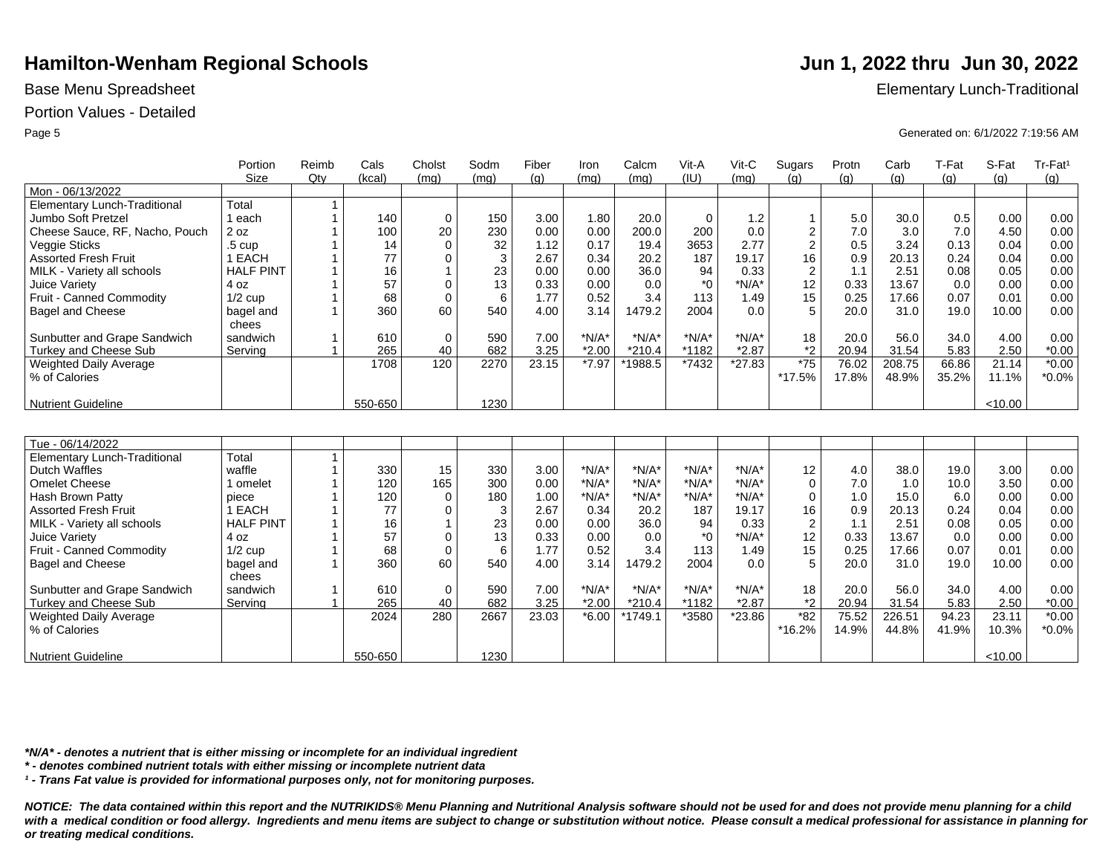## Portion Values - Detailed

|                                     | Portion            | Reimb        | Cals    | Cholst         | Sodm | Fiber | Iron    | Calcm    | Vit-A            | Vit-C    | Sugars         | Protn | Carb   | T-Fat | S-Fat   | Tr-Fat <sup>1</sup> |
|-------------------------------------|--------------------|--------------|---------|----------------|------|-------|---------|----------|------------------|----------|----------------|-------|--------|-------|---------|---------------------|
|                                     | <b>Size</b>        | $Q$ ty       | (kcal)  | (mq)           | (mq) | (g)   | (mq)    | (mg)     | (IU)             | (mq)     | (q)            | (g)   | (g)    | (q)   | (g)     | (g)                 |
| Mon - 06/13/2022                    |                    |              |         |                |      |       |         |          |                  |          |                |       |        |       |         |                     |
| <b>Elementary Lunch-Traditional</b> | Total              | 1            |         |                |      |       |         |          |                  |          |                |       |        |       |         |                     |
| Jumbo Soft Pretzel                  | 1 each             |              | 140     | $\mathbf 0$    | 150  | 3.00  | 1.80    | 20.0     | $\mathbf 0$      | 1.2      | $\mathbf{1}$   | 5.0   | 30.0   | 0.5   | 0.00    | 0.00                |
| Cheese Sauce, RF, Nacho, Pouch      | 2 oz               |              | 100     | 20             | 230  | 0.00  | 0.00    | 200.0    | 200              | 0.0      | $\mathbf 2$    | 7.0   | 3.0    | 7.0   | 4.50    | 0.00                |
| Veggie Sticks                       | .5 <sub>cup</sub>  |              | 14      | $\mathbf 0$    | 32   | 1.12  | 0.17    | 19.4     | 3653             | 2.77     | $\overline{2}$ | 0.5   | 3.24   | 0.13  | 0.04    | 0.00                |
| <b>Assorted Fresh Fruit</b>         | 1 EACH             |              | 77      | $\mathbf 0$    | 3    | 2.67  | 0.34    | 20.2     | 187              | 19.17    | 16             | 0.9   | 20.13  | 0.24  | 0.04    | 0.00                |
| MILK - Variety all schools          | <b>HALF PINT</b>   |              | 16      | $\mathbf{1}$   | 23   | 0.00  | 0.00    | 36.0     | 94               | 0.33     | $\overline{2}$ | 1.1   | 2.51   | 0.08  | 0.05    | 0.00                |
| Juice Variety                       | 4 oz               |              | 57      | $\mathbf 0$    | 13   | 0.33  | 0.00    | 0.0      | $*_{0}$          | $*N/A*$  | 12             | 0.33  | 13.67  | 0.0   | 0.00    | 0.00                |
| Fruit - Canned Commodity            | $1/2$ cup          |              | 68      | $\mathbf 0$    | 6    | 1.77  | 0.52    | 3.4      | 113              | 1.49     | 15             | 0.25  | 17.66  | 0.07  | 0.01    | 0.00                |
| <b>Bagel and Cheese</b>             | bagel and<br>chees |              | 360     | 60             | 540  | 4.00  | 3.14    | 1479.2   | 2004             | 0.0      | 5              | 20.0  | 31.0   | 19.0  | 10.00   | 0.00                |
| Sunbutter and Grape Sandwich        | sandwich           | $\mathbf 1$  | 610     | $\mathbf 0$    | 590  | 7.00  | $*N/A*$ | $*N/A*$  | $*N/A*$          | $*N/A*$  | 18             | 20.0  | 56.0   | 34.0  | 4.00    | 0.00                |
| <b>Turkey and Cheese Sub</b>        | Servina            | $\mathbf{1}$ | 265     | 40             | 682  | 3.25  | $*2.00$ | $*210.4$ | *1182            | $*2.87$  | *2             | 20.94 | 31.54  | 5.83  | 2.50    | $*0.00$             |
| Weighted Daily Average              |                    |              | 1708    | 120            | 2270 | 23.15 | $*7.97$ | *1988.5  | *7432            | $*27.83$ | $*75$          | 76.02 | 208.75 | 66.86 | 21.14   | $*0.00$             |
| % of Calories                       |                    |              |         |                |      |       |         |          |                  |          | *17.5%         | 17.8% | 48.9%  | 35.2% | 11.1%   | $*0.0\%$            |
|                                     |                    |              |         |                |      |       |         |          |                  |          |                |       |        |       |         |                     |
| <b>Nutrient Guideline</b>           |                    |              | 550-650 |                | 1230 |       |         |          |                  |          |                |       |        |       | < 10.00 |                     |
|                                     |                    |              |         |                |      |       |         |          |                  |          |                |       |        |       |         |                     |
| Tue - 06/14/2022                    |                    |              |         |                |      |       |         |          |                  |          |                |       |        |       |         |                     |
| <b>Elementary Lunch-Traditional</b> | Total              | 1            |         |                |      |       |         |          |                  |          |                |       |        |       |         |                     |
| <b>Dutch Waffles</b>                | waffle             |              | 330     | 15             | 330  | 3.00  | $*N/A*$ | $*N/A*$  | $*N/A*$          | $*N/A*$  | 12             | 4.0   | 38.0   | 19.0  | 3.00    | 0.00                |
| <b>Omelet Cheese</b>                | 1 omelet           |              | 120     | 165            | 300  | 0.00  | $*N/A*$ | $*N/A*$  | $*N/A*$          | $*N/A*$  | $\mathbf 0$    | 7.0   | 1.0    | 10.0  | 3.50    | 0.00                |
| Hash Brown Patty                    | piece              |              | 120     | $\Omega$       | 180  | 1.00  | $*N/A*$ | $*N/A*$  | $*N/A*$          | $*N/A*$  | $\mathbf 0$    | 1.0   | 15.0   | 6.0   | 0.00    | 0.00                |
| <b>Assorted Fresh Fruit</b>         | 1 EACH             |              | 77      | $\Omega$       | 3    | 2.67  | 0.34    | 20.2     | 187              | 19.17    | 16             | 0.9   | 20.13  | 0.24  | 0.04    | 0.00                |
| MILK - Variety all schools          | <b>HALF PINT</b>   |              | 16      | $\overline{1}$ | 23   | 0.00  | 0.00    | 36.0     | 94               | 0.33     | $\overline{2}$ | 1.1   | 2.51   | 0.08  | 0.05    | 0.00                |
| Juice Variety                       | 4 oz               |              | 57      | $\Omega$       | 13   | 0.33  | 0.00    | 0.0      | $*$ <sup>0</sup> | $*N/A*$  | 12             | 0.33  | 13.67  | 0.0   | 0.00    | 0.00                |
| Fruit - Canned Commodity            | $1/2$ cup          |              | 68      | $\Omega$       | 6    | 1.77  | 0.52    | 3.4      | 113              | 1.49     | 15             | 0.25  | 17.66  | 0.07  | 0.01    | 0.00                |
| <b>Bagel and Cheese</b>             | bagel and          |              | 360     | 60             | 540  | 4.00  | 3.14    | 1479.2   | 2004             | 0.0      | 5              | 20.0  | 31.0   | 19.0  | 10.00   | 0.00                |
|                                     | chees              |              |         |                |      |       |         |          |                  |          |                |       |        |       |         |                     |
| Sunbutter and Grape Sandwich        | sandwich           |              | 610     | $\mathbf 0$    | 590  | 7.00  | $*N/A*$ | $*N/A*$  | $*N/A*$          | $*N/A*$  | 18             | 20.0  | 56.0   | 34.0  | 4.00    | 0.00                |
| Turkey and Cheese Sub               | Serving            | $\mathbf{1}$ | 265     | 40             | 682  | 3.25  | $*2.00$ | $*210.4$ | *1182            | $*2.87$  | $*2$           | 20.94 | 31.54  | 5.83  | 2.50    | $*0.00$             |
| Weighted Daily Average              |                    |              | 2024    | 280            | 2667 | 23.03 | $*6.00$ | *1749.1  | *3580            | *23.86   | $*82$          | 75.52 | 226.51 | 94.23 | 23.11   | $*0.00$             |
| % of Calories                       |                    |              |         |                |      |       |         |          |                  |          | *16.2%         | 14.9% | 44.8%  | 41.9% | 10.3%   | $*0.0\%$            |
| Nutrient Guideline                  |                    |              | 550-650 |                | 1230 |       |         |          |                  |          |                |       |        |       | < 10.00 |                     |

*\*N/A\* - denotes a nutrient that is either missing or incomplete for an individual ingredient*

*\* - denotes combined nutrient totals with either missing or incomplete nutrient data*

*¹ - Trans Fat value is provided for informational purposes only, not for monitoring purposes.*

*NOTICE: The data contained within this report and the NUTRIKIDS® Menu Planning and Nutritional Analysis software should not be used for and does not provide menu planning for a child*  with a medical condition or food allergy. Ingredients and menu items are subject to change or substitution without notice. Please consult a medical professional for assistance in planning for *or treating medical conditions.*

Base Menu Spreadsheet **Elementary Lunch-Traditional** 

Page 5 Generated on: 6/1/2022 7:19:56 AM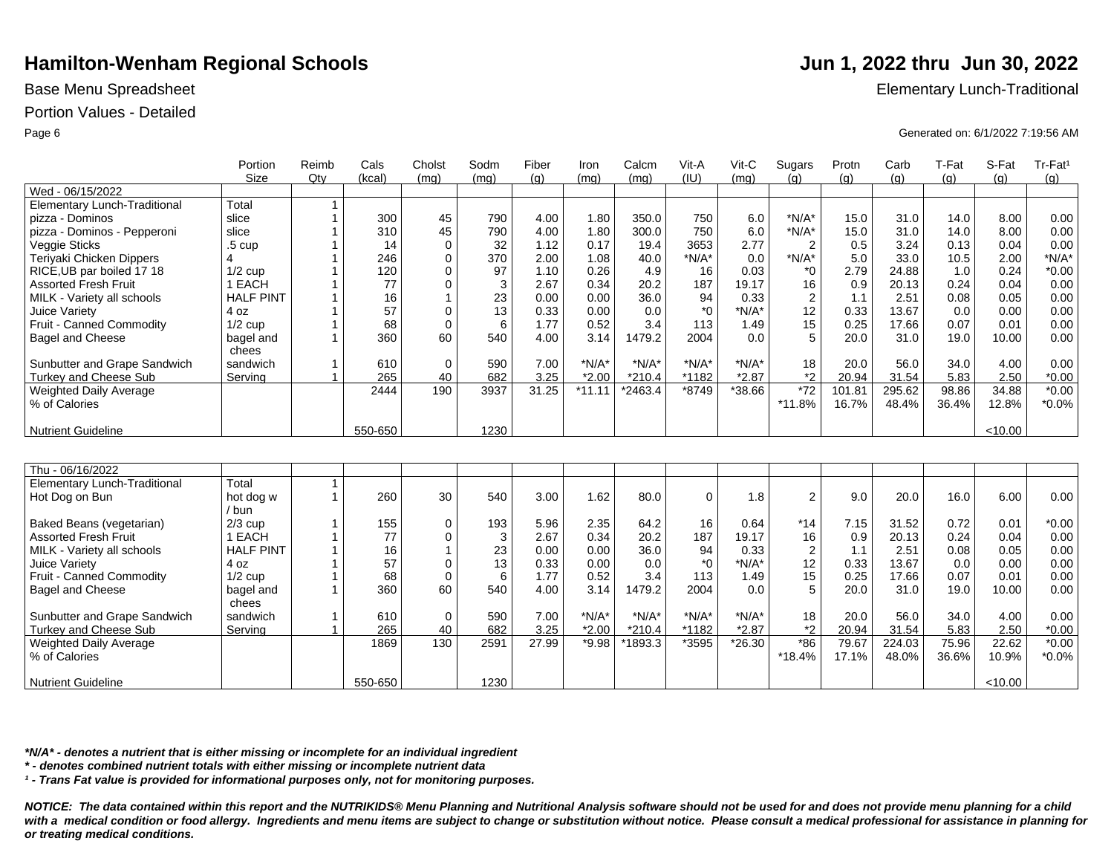## Portion Values - Detailed

Assorted Fresh Fruit MILK - Variety all schools

Fruit - Canned Commodity Bagel and Cheese

Weighted Daily Average

Sunbutter and Grape Sandwich Turkey and Cheese Sub

Juice Variety

% of Calories

Nutrient Guideline

|                                     | Portion<br>Size  | Reimb<br>Qty | Cals<br>(kcal) | Cholst<br>(mq) | Sodm<br>(mq) | Fiber<br>(g) | Iron<br>(mq) | Calcm<br>(mq) | Vit-A<br>(IU) | Vit-C<br>(mq) | Sugars<br>(a)  | Protn<br>(g) | Carb<br>(g) | T-Fat<br>(q) | S-Fat<br>(a) | $Tr-Fat1$<br>(q) |
|-------------------------------------|------------------|--------------|----------------|----------------|--------------|--------------|--------------|---------------|---------------|---------------|----------------|--------------|-------------|--------------|--------------|------------------|
| Wed - 06/15/2022                    |                  |              |                |                |              |              |              |               |               |               |                |              |             |              |              |                  |
| Elementary Lunch-Traditional        | Total            |              |                |                |              |              |              |               |               |               |                |              |             |              |              |                  |
| pizza - Dominos                     | slice            |              | 300            | 45             | 790          | 4.00         | 1.80         | 350.0         | 750           | 6.0           | $*N/A*$        | 15.0         | 31.0        | 14.0         | 8.00         | 0.00             |
| pizza - Dominos - Pepperoni         | slice            |              | 310            | 45             | 790          | 4.00         | 1.80         | 300.0         | 750           | 6.0           | $*N/A*$        | 15.0         | 31.0        | 14.0         | 8.00         | 0.00             |
| Veggie Sticks                       | .5 cup           |              | 14             | $\mathbf 0$    | 32           | 1.12         | 0.17         | 19.4          | 3653          | 2.77          | $\overline{2}$ | 0.5          | 3.24        | 0.13         | 0.04         | 0.00             |
| Teriyaki Chicken Dippers            |                  |              | 246            | $\mathbf 0$    | 370          | 2.00         | 1.08         | 40.0          | $*N/A*$       | 0.0           | $*N/A*$        | 5.0          | 33.0        | 10.5         | 2.00         | $*N/A*$          |
| RICE, UB par boiled 17 18           | $1/2$ cup        |              | 120            | $\Omega$       | 97           | 1.10         | 0.26         | 4.9           | 16            | 0.03          | $*_{0}$        | 2.79         | 24.88       | 1.0          | 0.24         | $*0.00$          |
| <b>Assorted Fresh Fruit</b>         | EACH             |              | 77             |                | 3            | 2.67         | 0.34         | 20.2          | 187           | 19.17         | 16             | 0.9          | 20.13       | 0.24         | 0.04         | 0.00             |
| MILK - Variety all schools          | <b>HALF PINT</b> |              | 16             |                | 23           | 0.00         | 0.00         | 36.0          | 94            | 0.33          | 2              | 1.1          | 2.51        | 0.08         | 0.05         | 0.00             |
| Juice Variety                       | 4 oz             |              | 57             | $\Omega$       | 13           | 0.33         | 0.00         | 0.0           | $*_{0}$       | $*N/A*$       | 12             | 0.33         | 13.67       | 0.0          | 0.00         | 0.00             |
| Fruit - Canned Commodity            | $1/2$ cup        |              | 68             | $\Omega$       | 6            | 1.77         | 0.52         | 3.4           | 113           | 1.49          | 15             | 0.25         | 17.66       | 0.07         | 0.01         | 0.00             |
| Bagel and Cheese                    | bagel and        |              | 360            | 60             | 540          | 4.00         | 3.14         | 1479.2        | 2004          | 0.0           | 5              | 20.0         | 31.0        | 19.0         | 10.00        | 0.00             |
|                                     | chees            |              |                |                |              |              |              |               |               |               |                |              |             |              |              |                  |
| Sunbutter and Grape Sandwich        | sandwich         |              | 610            | $\mathbf 0$    | 590          | 7.00         | $*N/A*$      | $*N/A*$       | $*N/A*$       | $N/A^*$       | 18             | 20.0         | 56.0        | 34.0         | 4.00         | 0.00             |
| Turkey and Cheese Sub               | Serving          |              | 265            | 40             | 682          | 3.25         | $*2.00$      | $*210.4$      | *1182         | $*2.87$       | *2             | 20.94        | 31.54       | 5.83         | 2.50         | $*0.00$          |
| Weighted Daily Average              |                  |              | 2444           | 190            | 3937         | 31.25        | $*11.11$     | $*2463.4$     | *8749         | *38.66        | $*72$          | 101.81       | 295.62      | 98.86        | 34.88        | $*0.00$          |
| % of Calories                       |                  |              |                |                |              |              |              |               |               |               | *11.8%         | 16.7%        | 48.4%       | 36.4%        | 12.8%        | $*0.0\%$         |
|                                     |                  |              |                |                |              |              |              |               |               |               |                |              |             |              |              |                  |
| <b>Nutrient Guideline</b>           |                  |              | 550-650        |                | 1230         |              |              |               |               |               |                |              |             |              | < 10.00      |                  |
|                                     |                  |              |                |                |              |              |              |               |               |               |                |              |             |              |              |                  |
|                                     |                  |              |                |                |              |              |              |               |               |               |                |              |             |              |              |                  |
| Thu - 06/16/2022                    |                  |              |                |                |              |              |              |               |               |               |                |              |             |              |              |                  |
| <b>Elementary Lunch-Traditional</b> | Total            |              |                |                |              |              |              |               |               |               |                |              |             |              |              |                  |
| Hot Dog on Bun                      | hot dog w        |              | 260            | 30             | 540          | 3.00         | 1.62         | 80.0          | $\mathbf 0$   | 1.8           | $\overline{2}$ | 9.0          | 20.0        | 16.0         | 6.00         | 0.00             |
|                                     | / bun            |              |                |                |              |              |              |               |               |               |                |              |             |              |              |                  |
| Baked Beans (vegetarian)            | $2/3$ cup        |              | 155            | 0              | 193          | 5.96         | 2.35         | 64.2          | 16            | 0.64          | $*14$          | 7.15         | 31.52       | 0.72         | 0.01         | $*0.00$          |

2.67 0.00 0.33 1.77 4.00 7.00 3.25

0.34 0.00 0.00 0.52 3.14 \*N/A\* \*2.00

20.2 36.0 0.0 3.4 1479.2 \*N/A\* \*210.4

 $27.99$  \*9.98 \*1893.3 \*3595 \*26.30

187 94 \*0 113 2004 \*N/A\* \*1182<br>\*3595 19.17 0.33 \*N/A\* 1.49 0.0 \*N/A\* \*2.87

\*18.4%

0.9 1.1 0.33 0.25 20.0 20.0 20.94

79.67 17.1% 20.13 2.51 13.67 17.66 31.0 56.0 31.54

224.03 48.0% 0.24 0.08 0.0 0.07 19.0 34.0 5.83

75.96 36.6%

0.04 0.05 0.00 0.01 10.00 4.00 2.50

22.62 10.9%  $< 10.00$ 

0.00 0.00 0.00 0.00 0.00 0.00 \*0.00

\*0.00 \*0.0%

Base Menu Spreadsheet **Elementary Lunch-Traditional** 

Page 6 Generated on: 6/1/2022 7:19:56 AM

*NOTICE: The data contained within this report and the NUTRIKIDS® Menu Planning and Nutritional Analysis software should not be used for and does not provide menu planning for a child*  with a medical condition or food allergy. Ingredients and menu items are subject to change or substitution without notice. Please consult a medical professional for assistance in planning for *or treating medical conditions.*

*\*N/A\* - denotes a nutrient that is either missing or incomplete for an individual ingredient*

*\* - denotes combined nutrient totals with either missing or incomplete nutrient data*

1 EACH HALF PINT 4 oz 1/2 cup bagel and chees sandwich Serving

1869

550-650

2591

1230

*¹ - Trans Fat value is provided for informational purposes only, not for monitoring purposes.*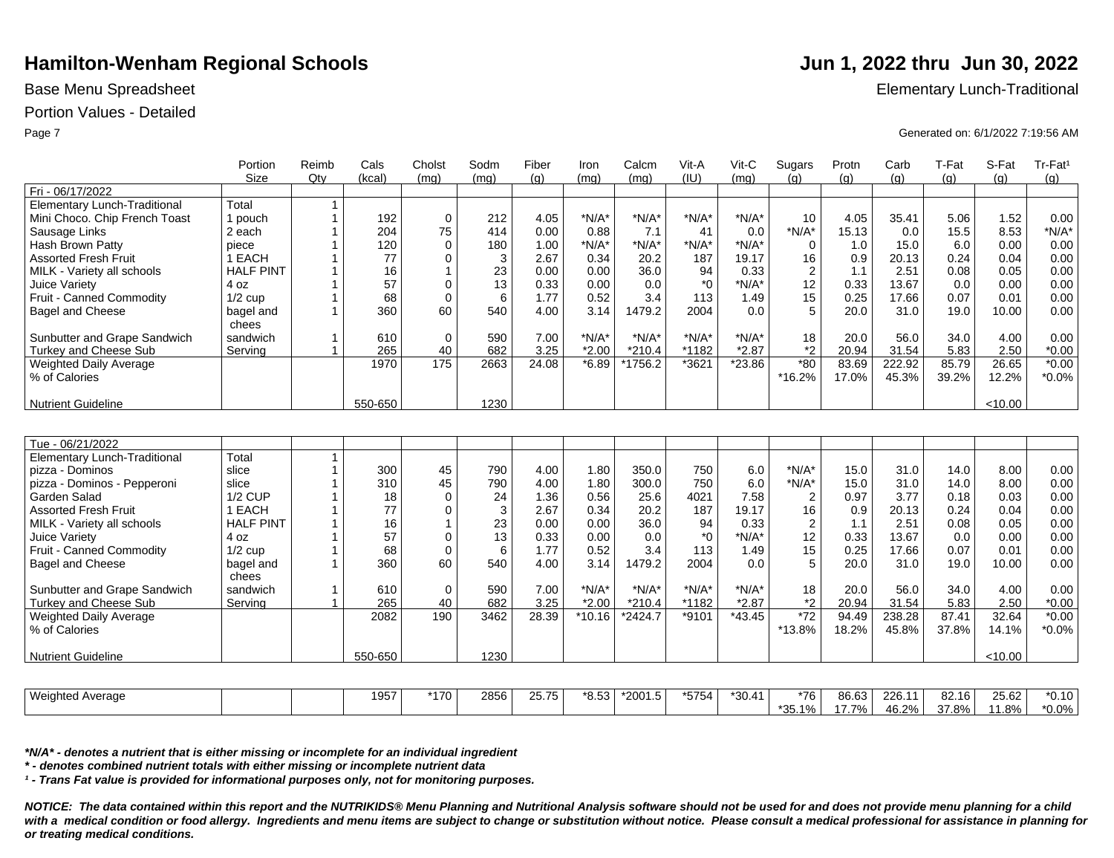## Portion Values - Detailed

|                                     | Portion            | Reimb        | Cals    | Cholst         | Sodm | Fiber | Iron     | Calcm                | Vit-A   | Vit-C    | Sugars           | Protn | Carb   | T-Fat | S-Fat   | Tr-Fat <sup>1</sup> |
|-------------------------------------|--------------------|--------------|---------|----------------|------|-------|----------|----------------------|---------|----------|------------------|-------|--------|-------|---------|---------------------|
|                                     | <b>Size</b>        | Qtv          | (kcal)  | (mq)           | (mq) | (q)   | (mq)     | (mq)                 | (IU)    | (ma)     | (a)              | (q)   | (q)    | (q)   | (q)     | (g)                 |
| Fri - 06/17/2022                    |                    |              |         |                |      |       |          |                      |         |          |                  |       |        |       |         |                     |
| <b>Elementary Lunch-Traditional</b> | Total              | 1            |         |                |      |       |          |                      |         |          |                  |       |        |       |         |                     |
| Mini Choco. Chip French Toast       | 1 pouch            |              | 192     | $\mathbf 0$    | 212  | 4.05  | $*N/A*$  | $*N/A*$              | $*N/A*$ | $*N/A*$  | 10               | 4.05  | 35.41  | 5.06  | 1.52    | 0.00                |
| Sausage Links                       | 2 each             |              | 204     | 75             | 414  | 0.00  | 0.88     | 7.1                  | 41      | 0.0      | $*N/A*$          | 15.13 | 0.0    | 15.5  | 8.53    | $*N/A*$             |
| Hash Brown Patty                    | piece              |              | 120     | $\mathbf 0$    | 180  | 1.00  | $*N/A*$  | $*N/A*$              | $*N/A*$ | $*N/A*$  | 0                | 1.0   | 15.0   | 6.0   | 0.00    | 0.00                |
| <b>Assorted Fresh Fruit</b>         | 1 EACH             |              | 77      | $\mathbf 0$    | 3    | 2.67  | 0.34     | 20.2                 | 187     | 19.17    | 16               | 0.9   | 20.13  | 0.24  | 0.04    | 0.00                |
| MILK - Variety all schools          | <b>HALF PINT</b>   |              | 16      |                | 23   | 0.00  | 0.00     | 36.0                 | 94      | 0.33     | $\overline{2}$   | 1.1   | 2.51   | 0.08  | 0.05    | 0.00                |
| Juice Variety                       | 4 oz               |              | 57      | $\mathbf 0$    | 13   | 0.33  | 0.00     | 0.0                  | $*_{0}$ | $*N/A*$  | 12               | 0.33  | 13.67  | 0.0   | 0.00    | 0.00                |
| Fruit - Canned Commodity            | $1/2$ cup          |              | 68      | $\mathbf 0$    | 6    | 1.77  | 0.52     | 3.4                  | 113     | 1.49     | 15               | 0.25  | 17.66  | 0.07  | 0.01    | 0.00                |
| <b>Bagel and Cheese</b>             | bagel and<br>chees |              | 360     | 60             | 540  | 4.00  | 3.14     | 1479.2               | 2004    | 0.0      | 5                | 20.0  | 31.0   | 19.0  | 10.00   | 0.00                |
| Sunbutter and Grape Sandwich        | sandwich           |              | 610     | $\mathbf 0$    | 590  | 7.00  | $*N/A*$  | $*N/A*$              | $*N/A*$ | $*N/A*$  | 18               | 20.0  | 56.0   | 34.0  | 4.00    | 0.00                |
| Turkey and Cheese Sub               | Servina            |              | 265     | 40             | 682  | 3.25  | $*2.00$  | $*210.4$             | *1182   | $*2.87$  | *2               | 20.94 | 31.54  | 5.83  | 2.50    | $*0.00$             |
| Weighted Daily Average              |                    |              | 1970    | 175            | 2663 | 24.08 | $*6.89$  | *1756.2              | *3621   | $*23.86$ | $*80$            | 83.69 | 222.92 | 85.79 | 26.65   | $*0.00$             |
| % of Calories                       |                    |              |         |                |      |       |          |                      |         |          | *16.2%           | 17.0% | 45.3%  | 39.2% | 12.2%   | $*0.0\%$            |
|                                     |                    |              |         |                |      |       |          |                      |         |          |                  |       |        |       |         |                     |
| <b>Nutrient Guideline</b>           |                    |              | 550-650 |                | 1230 |       |          |                      |         |          |                  |       |        |       | < 10.00 |                     |
|                                     |                    |              |         |                |      |       |          |                      |         |          |                  |       |        |       |         |                     |
|                                     |                    |              |         |                |      |       |          |                      |         |          |                  |       |        |       |         |                     |
| Tue - 06/21/2022                    |                    |              |         |                |      |       |          |                      |         |          |                  |       |        |       |         |                     |
| <b>Elementary Lunch-Traditional</b> | Total              | $\mathbf{1}$ |         |                |      |       |          |                      |         |          |                  |       |        |       |         |                     |
| pizza - Dominos                     | slice              |              | 300     | 45             | 790  | 4.00  | 1.80     | 350.0                | 750     | 6.0      | $*N/A*$          | 15.0  | 31.0   | 14.0  | 8.00    | 0.00                |
| pizza - Dominos - Pepperoni         | slice              |              | 310     | 45             | 790  | 4.00  | 1.80     | 300.0                | 750     | 6.0      | $*N/A*$          | 15.0  | 31.0   | 14.0  | 8.00    | 0.00                |
| Garden Salad                        | <b>1/2 CUP</b>     |              | 18      | $\mathbf 0$    | 24   | 1.36  | 0.56     | 25.6                 | 4021    | 7.58     | $\boldsymbol{2}$ | 0.97  | 3.77   | 0.18  | 0.03    | 0.00                |
| <b>Assorted Fresh Fruit</b>         | 1 EACH             |              | 77      | $\mathbf 0$    | 3    | 2.67  | 0.34     | 20.2                 | 187     | 19.17    | 16               | 0.9   | 20.13  | 0.24  | 0.04    | 0.00                |
| MILK - Variety all schools          | <b>HALF PINT</b>   |              | 16      | $\overline{1}$ | 23   | 0.00  | 0.00     | 36.0                 | 94      | 0.33     | $\boldsymbol{2}$ | 1.1   | 2.51   | 0.08  | 0.05    | 0.00                |
| Juice Variety                       | 4 oz               |              | 57      | $\mathbf 0$    | 13   | 0.33  | 0.00     | 0.0                  | $*_{0}$ | $*N/A*$  | 12               | 0.33  | 13.67  | 0.0   | 0.00    | 0.00                |
| Fruit - Canned Commodity            | $1/2$ cup          |              | 68      | $\mathbf 0$    | 6    | 1.77  | 0.52     | 3.4                  | 113     | 1.49     | 15               | 0.25  | 17.66  | 0.07  | 0.01    | 0.00                |
| <b>Bagel and Cheese</b>             | bagel and          |              | 360     | 60             | 540  | 4.00  | 3.14     | 1479.2               | 2004    | 0.0      | 5                | 20.0  | 31.0   | 19.0  | 10.00   | 0.00                |
|                                     | chees              |              |         |                |      |       |          |                      |         |          |                  |       |        |       |         |                     |
| Sunbutter and Grape Sandwich        | sandwich           | $\mathbf 1$  | 610     | $\mathbf 0$    | 590  | 7.00  | $*N/A*$  | $*N/A*$              | $*N/A*$ | $*N/A*$  | 18               | 20.0  | 56.0   | 34.0  | 4.00    | 0.00                |
| Turkey and Cheese Sub               | Serving            |              | 265     | 40             | 682  | 3.25  | $*2.00$  | $*210.4$             | *1182   | $*2.87$  | *2               | 20.94 | 31.54  | 5.83  | 2.50    | $*0.00$             |
| Weighted Daily Average              |                    |              | 2082    | 190            | 3462 | 28.39 | $*10.16$ | $\overline{2}$ 424.7 | *9101   | $*43.45$ | $*72$            | 94.49 | 238.28 | 87.41 | 32.64   | $*0.00$             |
| % of Calories                       |                    |              |         |                |      |       |          |                      |         |          | *13.8%           | 18.2% | 45.8%  | 37.8% | 14.1%   | $*0.0\%$            |
|                                     |                    |              |         |                |      |       |          |                      |         |          |                  |       |        |       |         |                     |
| Nutrient Guideline                  |                    |              | 550-650 |                | 1230 |       |          |                      |         |          |                  |       |        |       | < 10.00 |                     |

| Weighted<br>l Average |  | 1957 | `170∶ | 2856 | 25. ZR<br>' ن ، ، ، ، ، | $*$ $\Omega$ $\bar{K}$<br>o.o. | $*2001$<br>ں. ا | *5754 | *30.41 | *76 | 86.63 | 226.11 | $92.16 +$<br>54. | 25.62 | *0.10    |
|-----------------------|--|------|-------|------|-------------------------|--------------------------------|-----------------|-------|--------|-----|-------|--------|------------------|-------|----------|
|                       |  |      |       |      |                         |                                |                 |       |        | ບບ. | 70/   | 46.2%  | 37.8%            | 1.8%  | $*0.0\%$ |

*\*N/A\* - denotes a nutrient that is either missing or incomplete for an individual ingredient*

*\* - denotes combined nutrient totals with either missing or incomplete nutrient data*

*¹ - Trans Fat value is provided for informational purposes only, not for monitoring purposes.*

*NOTICE: The data contained within this report and the NUTRIKIDS® Menu Planning and Nutritional Analysis software should not be used for and does not provide menu planning for a child*  with a medical condition or food allergy. Ingredients and menu items are subject to change or substitution without notice. Please consult a medical professional for assistance in planning for *or treating medical conditions.*

Base Menu Spreadsheet **Elementary Lunch-Traditional** 

Page 7 Generated on: 6/1/2022 7:19:56 AM